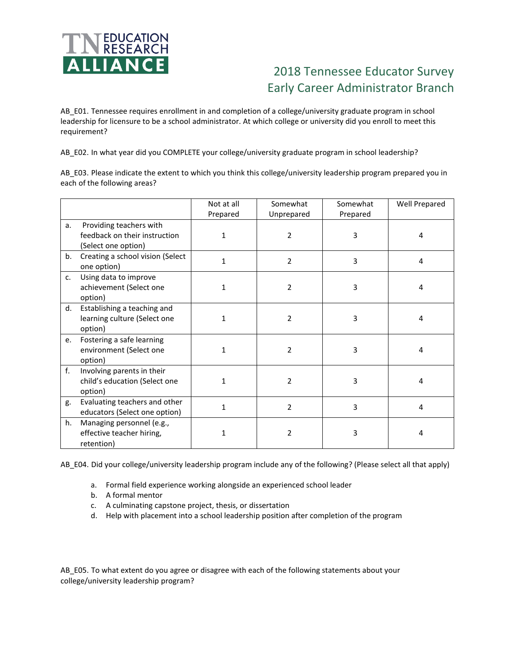

## 2018 Tennessee Educator Survey Early Career Administrator Branch

AB\_E01. Tennessee requires enrollment in and completion of a college/university graduate program in school leadership for licensure to be a school administrator. At which college or university did you enroll to meet this requirement?

AB\_E02. In what year did you COMPLETE your college/university graduate program in school leadership?

AB\_E03. Please indicate the extent to which you think this college/university leadership program prepared you in each of the following areas?

|    |                                                                                 | Not at all<br>Prepared | Somewhat<br>Unprepared | Somewhat<br>Prepared | Well Prepared |
|----|---------------------------------------------------------------------------------|------------------------|------------------------|----------------------|---------------|
| a. | Providing teachers with<br>feedback on their instruction<br>(Select one option) | 1                      | $\overline{2}$         | 3                    | 4             |
| b. | Creating a school vision (Select<br>one option)                                 | 1                      | $\overline{2}$         | 3                    | 4             |
| c. | Using data to improve<br>achievement (Select one<br>option)                     | 1                      | $\overline{2}$         | 3                    | 4             |
| d. | Establishing a teaching and<br>learning culture (Select one<br>option)          | 1                      | 2                      | 3                    | 4             |
| e. | Fostering a safe learning<br>environment (Select one<br>option)                 | 1                      | $\overline{2}$         | 3                    | 4             |
| f. | Involving parents in their<br>child's education (Select one<br>option)          | 1                      | 2                      | 3                    | 4             |
| g. | Evaluating teachers and other<br>educators (Select one option)                  | 1                      | 2                      | 3                    | 4             |
| h. | Managing personnel (e.g.,<br>effective teacher hiring,<br>retention)            | 1                      | 2                      | 3                    | 4             |

AB\_E04. Did your college/university leadership program include any of the following? (Please select all that apply)

- a. Formal field experience working alongside an experienced school leader
- b. A formal mentor
- c. A culminating capstone project, thesis, or dissertation
- d. Help with placement into a school leadership position after completion of the program

AB\_E05. To what extent do you agree or disagree with each of the following statements about your college/university leadership program?